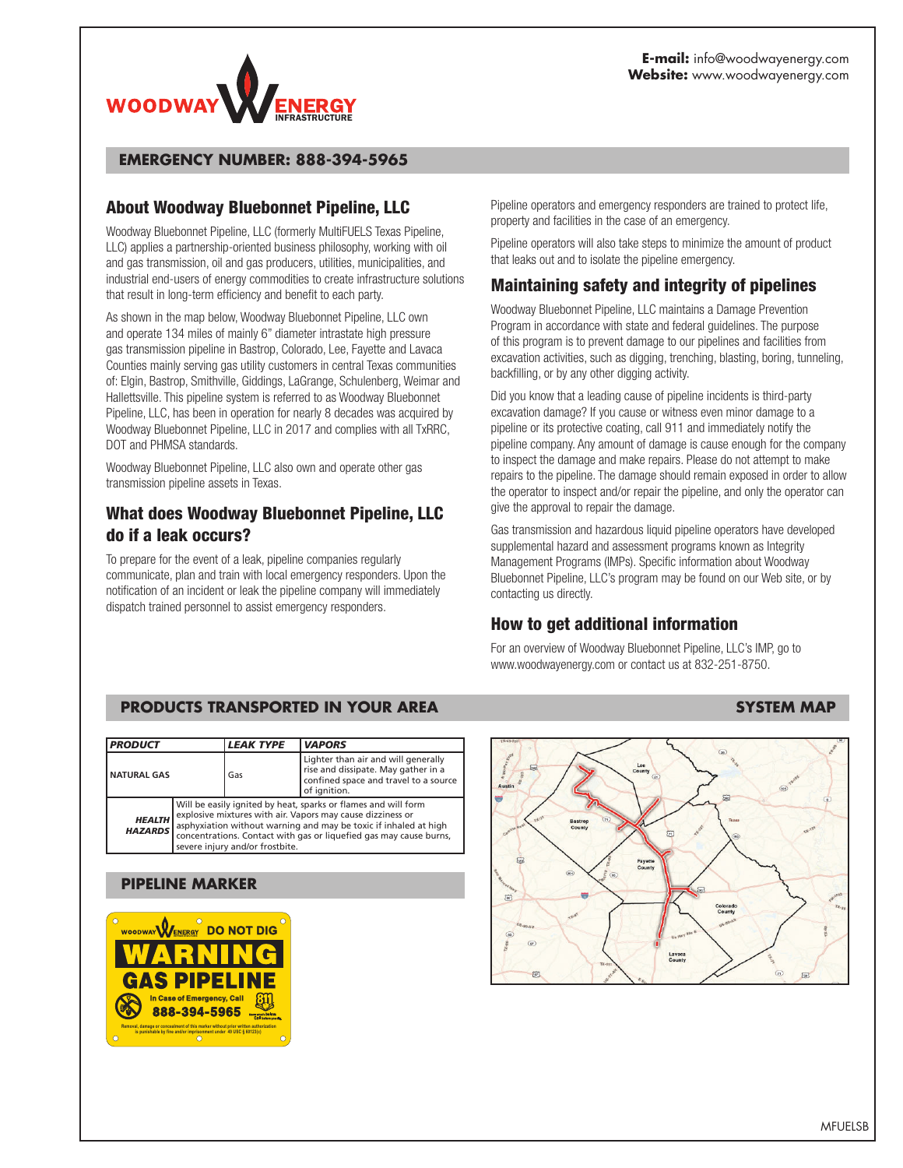

#### **EMERGENCY NUMBER: 888-394-5965**

### **About Woodway Bluebonnet Pipeline, LLC**

Woodway Bluebonnet Pipeline, LLC (formerly MultiFUELS Texas Pipeline, LLC) applies a partnership-oriented business philosophy, working with oil and gas transmission, oil and gas producers, utilities, municipalities, and industrial end-users of energy commodities to create infrastructure solutions that result in long-term efficiency and benefit to each party.

As shown in the map below, Woodway Bluebonnet Pipeline, LLC own and operate 134 miles of mainly 6" diameter intrastate high pressure gas transmission pipeline in Bastrop, Colorado, Lee, Fayette and Lavaca Counties mainly serving gas utility customers in central Texas communities of: Elgin, Bastrop, Smithville, Giddings, LaGrange, Schulenberg, Weimar and Hallettsville. This pipeline system is referred to as Woodway Bluebonnet Pipeline, LLC, has been in operation for nearly 8 decades was acquired by Woodway Bluebonnet Pipeline, LLC in 2017 and complies with all TxRRC, DOT and PHMSA standards.

Woodway Bluebonnet Pipeline, LLC also own and operate other gas transmission pipeline assets in Texas.

# **What does Woodway Bluebonnet Pipeline, LLC do if a leak occurs?**

To prepare for the event of a leak, pipeline companies regularly communicate, plan and train with local emergency responders. Upon the notification of an incident or leak the pipeline company will immediately dispatch trained personnel to assist emergency responders.

Pipeline operators and emergency responders are trained to protect life, property and facilities in the case of an emergency.

Pipeline operators will also take steps to minimize the amount of product that leaks out and to isolate the pipeline emergency.

# **Maintaining safety and integrity of pipelines**

Woodway Bluebonnet Pipeline, LLC maintains a Damage Prevention Program in accordance with state and federal guidelines. The purpose of this program is to prevent damage to our pipelines and facilities from excavation activities, such as digging, trenching, blasting, boring, tunneling, backfilling, or by any other digging activity.

Did you know that a leading cause of pipeline incidents is third-party excavation damage? If you cause or witness even minor damage to a pipeline or its protective coating, call 911 and immediately notify the pipeline company. Any amount of damage is cause enough for the company to inspect the damage and make repairs. Please do not attempt to make repairs to the pipeline. The damage should remain exposed in order to allow the operator to inspect and/or repair the pipeline, and only the operator can give the approval to repair the damage.

Gas transmission and hazardous liquid pipeline operators have developed supplemental hazard and assessment programs known as Integrity Management Programs (IMPs). Specific information about Woodway Bluebonnet Pipeline, LLC's program may be found on our Web site, or by contacting us directly.

# **How to get additional information**

For an overview of Woodway Bluebonnet Pipeline, LLC's IMP, go to www.woodwayenergy.com or contact us at 832-251-8750.

### **PRODUCTS TRANSPORTED IN YOUR AREA** SYSTEM MAP

| <b>PRODUCT</b>                  |                                                                                                                                                                                                                                                                                                           | <b>LEAK TYPE</b> | <b>VAPORS</b>                                                                                                                       |
|---------------------------------|-----------------------------------------------------------------------------------------------------------------------------------------------------------------------------------------------------------------------------------------------------------------------------------------------------------|------------------|-------------------------------------------------------------------------------------------------------------------------------------|
| <b>NATURAL GAS</b>              |                                                                                                                                                                                                                                                                                                           | Gas              | Lighter than air and will generally<br>rise and dissipate. May gather in a<br>confined space and travel to a source<br>of ignition. |
| <b>HEALTH</b><br><b>HAZARDS</b> | Will be easily ignited by heat, sparks or flames and will form<br>explosive mixtures with air. Vapors may cause dizziness or<br>asphyxiation without warning and may be toxic if inhaled at high<br>concentrations. Contact with gas or liquefied gas may cause burns,<br>severe injury and/or frostbite. |                  |                                                                                                                                     |

#### **PIPELINE MARKER**